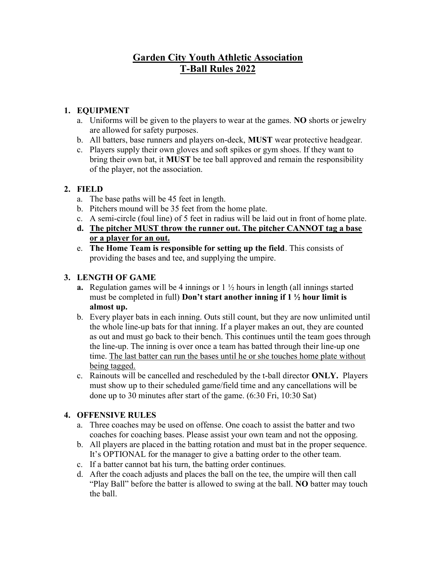# Garden City Youth Athletic Association T-Ball Rules 2022

### 1. EQUIPMENT

- a. Uniforms will be given to the players to wear at the games. NO shorts or jewelry are allowed for safety purposes.
- b. All batters, base runners and players on-deck, MUST wear protective headgear.
- c. Players supply their own gloves and soft spikes or gym shoes. If they want to bring their own bat, it MUST be tee ball approved and remain the responsibility of the player, not the association.

### 2. FIELD

- a. The base paths will be 45 feet in length.
- b. Pitchers mound will be 35 feet from the home plate.
- c. A semi-circle (foul line) of 5 feet in radius will be laid out in front of home plate.
- d. The pitcher MUST throw the runner out. The pitcher CANNOT tag a base or a player for an out.
- e. The Home Team is responsible for setting up the field. This consists of providing the bases and tee, and supplying the umpire.

### 3. LENGTH OF GAME

- **a.** Regulation games will be 4 innings or  $1\frac{1}{2}$  hours in length (all innings started must be completed in full) Don't start another inning if  $1 \frac{1}{2}$  hour limit is almost up.
- b. Every player bats in each inning. Outs still count, but they are now unlimited until the whole line-up bats for that inning. If a player makes an out, they are counted as out and must go back to their bench. This continues until the team goes through the line-up. The inning is over once a team has batted through their line-up one time. The last batter can run the bases until he or she touches home plate without being tagged.
- c. Rainouts will be cancelled and rescheduled by the t-ball director ONLY. Players must show up to their scheduled game/field time and any cancellations will be done up to 30 minutes after start of the game. (6:30 Fri, 10:30 Sat)

## 4. OFFENSIVE RULES

- a. Three coaches may be used on offense. One coach to assist the batter and two coaches for coaching bases. Please assist your own team and not the opposing.
- b. All players are placed in the batting rotation and must bat in the proper sequence. It's OPTIONAL for the manager to give a batting order to the other team.
- c. If a batter cannot bat his turn, the batting order continues.
- d. After the coach adjusts and places the ball on the tee, the umpire will then call "Play Ball" before the batter is allowed to swing at the ball. NO batter may touch the ball.